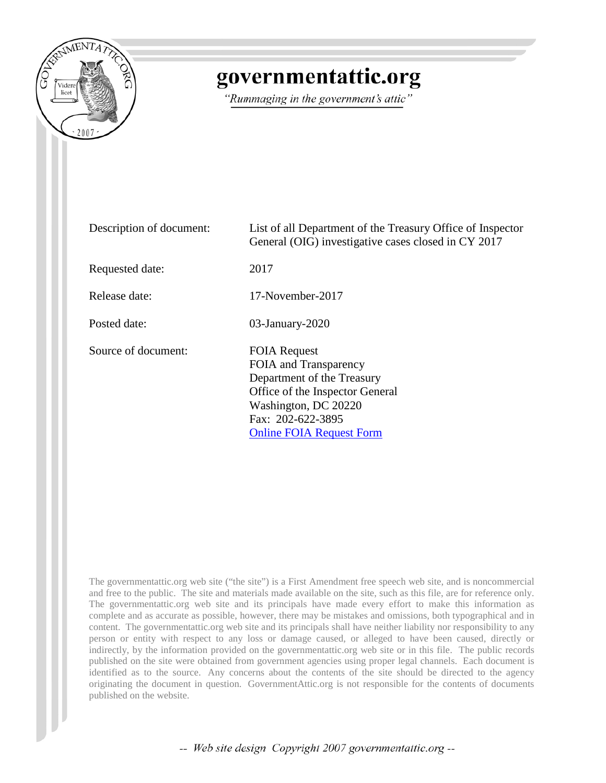

## governmentattic.org

"Rummaging in the government's attic"

| Description of document: | List of all Department of the Treasury Office of Inspector<br>General (OIG) investigative cases closed in CY 2017                                                                             |
|--------------------------|-----------------------------------------------------------------------------------------------------------------------------------------------------------------------------------------------|
| Requested date:          | 2017                                                                                                                                                                                          |
| Release date:            | 17-November-2017                                                                                                                                                                              |
| Posted date:             | $03$ -January- $2020$                                                                                                                                                                         |
| Source of document:      | <b>FOIA Request</b><br>FOIA and Transparency<br>Department of the Treasury<br>Office of the Inspector General<br>Washington, DC 20220<br>Fax: 202-622-3895<br><b>Online FOIA Request Form</b> |

The governmentattic.org web site ("the site") is a First Amendment free speech web site, and is noncommercial and free to the public. The site and materials made available on the site, such as this file, are for reference only. The governmentattic.org web site and its principals have made every effort to make this information as complete and as accurate as possible, however, there may be mistakes and omissions, both typographical and in content. The governmentattic.org web site and its principals shall have neither liability nor responsibility to any person or entity with respect to any loss or damage caused, or alleged to have been caused, directly or indirectly, by the information provided on the governmentattic.org web site or in this file. The public records published on the site were obtained from government agencies using proper legal channels. Each document is identified as to the source. Any concerns about the contents of the site should be directed to the agency originating the document in question. GovernmentAttic.org is not responsible for the contents of documents published on the website.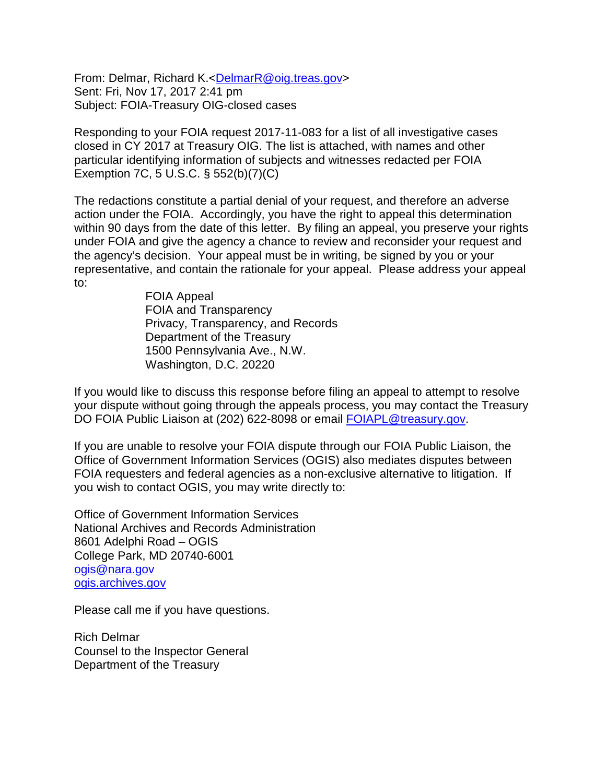From: Delmar, Richard K.[<DelmarR@oig.treas.gov>](mailto:DelmarR@oig.treas.gov) Sent: Fri, Nov 17, 2017 2:41 pm Subject: FOIA-Treasury OIG-closed cases

Responding to your FOIA request 2017-11-083 for a list of all investigative cases closed in CY 2017 at Treasury OIG. The list is attached, with names and other particular identifying information of subjects and witnesses redacted per FOIA Exemption 7C, 5 U.S.C. § 552(b)(7)(C)

The redactions constitute a partial denial of your request, and therefore an adverse action under the FOIA. Accordingly, you have the right to appeal this determination within 90 days from the date of this letter. By filing an appeal, you preserve your rights under FOIA and give the agency a chance to review and reconsider your request and the agency's decision. Your appeal must be in writing, be signed by you or your representative, and contain the rationale for your appeal. Please address your appeal to:

> FOIA Appeal FOIA and Transparency Privacy, Transparency, and Records Department of the Treasury 1500 Pennsylvania Ave., N.W. Washington, D.C. 20220

If you would like to discuss this response before filing an appeal to attempt to resolve your dispute without going through the appeals process, you may contact the Treasury DO FOIA Public Liaison at (202) 622-8098 or email [FOIAPL@treasury.gov.](mailto:FOIAPL@treasury.gov)

If you are unable to resolve your FOIA dispute through our FOIA Public Liaison, the Office of Government Information Services (OGIS) also mediates disputes between FOIA requesters and federal agencies as a non-exclusive alternative to litigation. If you wish to contact OGIS, you may write directly to:

Office of Government Information Services National Archives and Records Administration 8601 Adelphi Road – OGIS College Park, MD 20740-6001 [ogis@nara.gov](mailto:ogis@nara.gov) [ogis.archives.gov](mailto:ogis.archives.gov)

Please call me if you have questions.

Rich Delmar Counsel to the Inspector General Department of the Treasury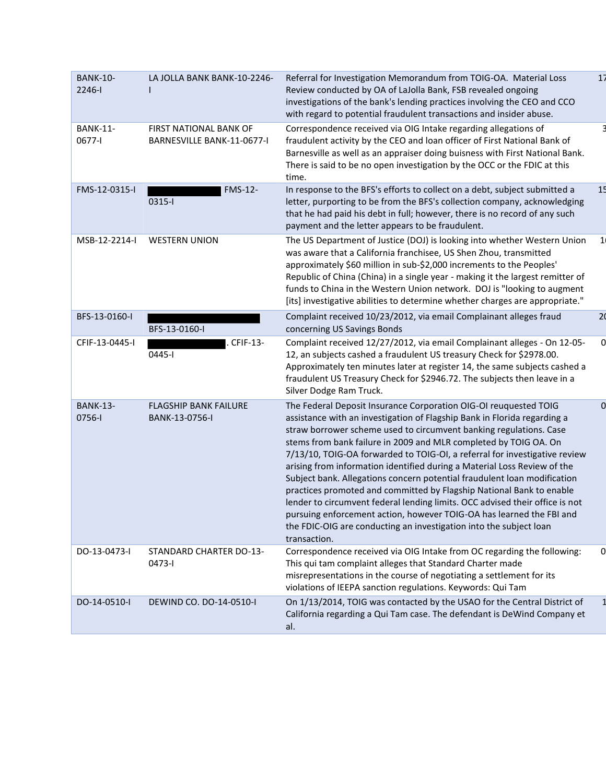| <b>BANK-10-</b><br>2246-l | LA JOLLA BANK BANK-10-2246-                                 | Referral for Investigation Memorandum from TOIG-OA. Material Loss<br>Review conducted by OA of LaJolla Bank, FSB revealed ongoing<br>investigations of the bank's lending practices involving the CEO and CCO<br>with regard to potential fraudulent transactions and insider abuse.                                                                                                                                                                                                                                                                                                                                                                                                                                                                                                                                                               | 17             |
|---------------------------|-------------------------------------------------------------|----------------------------------------------------------------------------------------------------------------------------------------------------------------------------------------------------------------------------------------------------------------------------------------------------------------------------------------------------------------------------------------------------------------------------------------------------------------------------------------------------------------------------------------------------------------------------------------------------------------------------------------------------------------------------------------------------------------------------------------------------------------------------------------------------------------------------------------------------|----------------|
| <b>BANK-11-</b><br>0677-l | <b>FIRST NATIONAL BANK OF</b><br>BARNESVILLE BANK-11-0677-I | Correspondence received via OIG Intake regarding allegations of<br>fraudulent activity by the CEO and loan officer of First National Bank of<br>Barnesville as well as an appraiser doing buisness with First National Bank.<br>There is said to be no open investigation by the OCC or the FDIC at this<br>time.                                                                                                                                                                                                                                                                                                                                                                                                                                                                                                                                  |                |
| FMS-12-0315-I             | <b>FMS-12-</b><br>0315-1                                    | In response to the BFS's efforts to collect on a debt, subject submitted a<br>letter, purporting to be from the BFS's collection company, acknowledging<br>that he had paid his debt in full; however, there is no record of any such<br>payment and the letter appears to be fraudulent.                                                                                                                                                                                                                                                                                                                                                                                                                                                                                                                                                          | 15             |
| MSB-12-2214-I             | <b>WESTERN UNION</b>                                        | The US Department of Justice (DOJ) is looking into whether Western Union<br>was aware that a California franchisee, US Shen Zhou, transmitted<br>approximately \$60 million in sub-\$2,000 increments to the Peoples'<br>Republic of China (China) in a single year - making it the largest remitter of<br>funds to China in the Western Union network. DOJ is "looking to augment<br>[its] investigative abilities to determine whether charges are appropriate."                                                                                                                                                                                                                                                                                                                                                                                 | $\mathbf{1}$   |
| BFS-13-0160-I             | BFS-13-0160-I                                               | Complaint received 10/23/2012, via email Complainant alleges fraud<br>concerning US Savings Bonds                                                                                                                                                                                                                                                                                                                                                                                                                                                                                                                                                                                                                                                                                                                                                  | 2 <sub>0</sub> |
| CFIF-13-0445-I            | CFIF-13-<br>0445-1                                          | Complaint received 12/27/2012, via email Complainant alleges - On 12-05-<br>12, an subjects cashed a fraudulent US treasury Check for \$2978.00.<br>Approximately ten minutes later at register 14, the same subjects cashed a<br>fraudulent US Treasury Check for \$2946.72. The subjects then leave in a<br>Silver Dodge Ram Truck.                                                                                                                                                                                                                                                                                                                                                                                                                                                                                                              |                |
| <b>BANK-13-</b><br>0756-l | <b>FLAGSHIP BANK FAILURE</b><br>BANK-13-0756-I              | The Federal Deposit Insurance Corporation OIG-OI reuquested TOIG<br>assistance with an investigation of Flagship Bank in Florida regarding a<br>straw borrower scheme used to circumvent banking regulations. Case<br>stems from bank failure in 2009 and MLR completed by TOIG OA. On<br>7/13/10, TOIG-OA forwarded to TOIG-OI, a referral for investigative review<br>arising from information identified during a Material Loss Review of the<br>Subject bank. Allegations concern potential fraudulent loan modification<br>practices promoted and committed by Flagship National Bank to enable<br>lender to circumvent federal lending limits. OCC advised their office is not<br>pursuing enforcement action, however TOIG-OA has learned the FBI and<br>the FDIC-OIG are conducting an investigation into the subject loan<br>transaction. | $\Omega$       |
| DO-13-0473-I              | STANDARD CHARTER DO-13-<br>0473-l                           | Correspondence received via OIG Intake from OC regarding the following:<br>This qui tam complaint alleges that Standard Charter made<br>misrepresentations in the course of negotiating a settlement for its<br>violations of IEEPA sanction regulations. Keywords: Qui Tam                                                                                                                                                                                                                                                                                                                                                                                                                                                                                                                                                                        | 0              |
| DO-14-0510-I              | DEWIND CO. DO-14-0510-I                                     | On 1/13/2014, TOIG was contacted by the USAO for the Central District of<br>California regarding a Qui Tam case. The defendant is DeWind Company et<br>al.                                                                                                                                                                                                                                                                                                                                                                                                                                                                                                                                                                                                                                                                                         |                |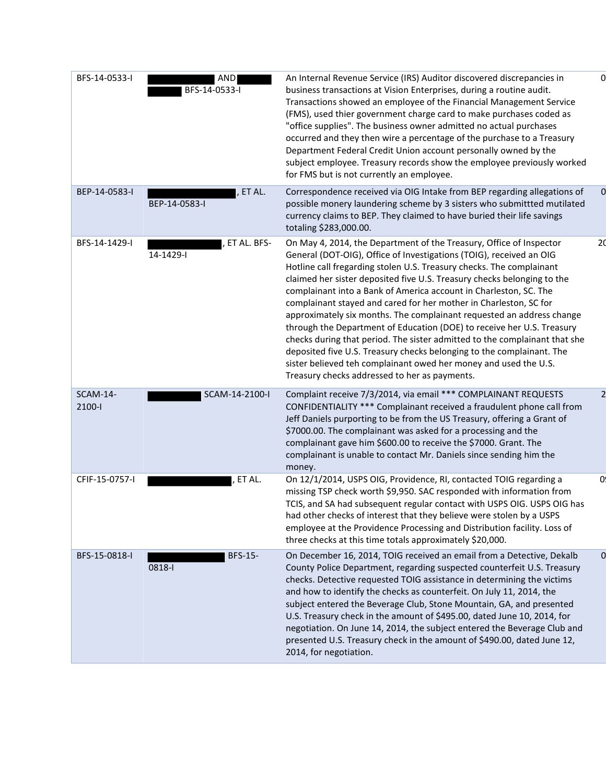| BFS-14-0533-I             | <b>AND</b><br>BFS-14-0533-I | An Internal Revenue Service (IRS) Auditor discovered discrepancies in<br>business transactions at Vision Enterprises, during a routine audit.<br>Transactions showed an employee of the Financial Management Service<br>(FMS), used thier government charge card to make purchases coded as<br>"office supplies". The business owner admitted no actual purchases<br>occurred and they then wire a percentage of the purchase to a Treasury<br>Department Federal Credit Union account personally owned by the<br>subject employee. Treasury records show the employee previously worked<br>for FMS but is not currently an employee.                                                                                                                                                                                                                                  |                |
|---------------------------|-----------------------------|------------------------------------------------------------------------------------------------------------------------------------------------------------------------------------------------------------------------------------------------------------------------------------------------------------------------------------------------------------------------------------------------------------------------------------------------------------------------------------------------------------------------------------------------------------------------------------------------------------------------------------------------------------------------------------------------------------------------------------------------------------------------------------------------------------------------------------------------------------------------|----------------|
| BEP-14-0583-I             | , ET AL.<br>BEP-14-0583-I   | Correspondence received via OIG Intake from BEP regarding allegations of<br>possible monery laundering scheme by 3 sisters who submittted mutilated<br>currency claims to BEP. They claimed to have buried their life savings<br>totaling \$283,000.00.                                                                                                                                                                                                                                                                                                                                                                                                                                                                                                                                                                                                                |                |
| BFS-14-1429-I             | ET AL. BFS-<br>14-1429-l    | On May 4, 2014, the Department of the Treasury, Office of Inspector<br>General (DOT-OIG), Office of Investigations (TOIG), received an OIG<br>Hotline call fregarding stolen U.S. Treasury checks. The complainant<br>claimed her sister deposited five U.S. Treasury checks belonging to the<br>complainant into a Bank of America account in Charleston, SC. The<br>complainant stayed and cared for her mother in Charleston, SC for<br>approximately six months. The complainant requested an address change<br>through the Department of Education (DOE) to receive her U.S. Treasury<br>checks during that period. The sister admitted to the complainant that she<br>deposited five U.S. Treasury checks belonging to the complainant. The<br>sister believed teh complainant owed her money and used the U.S.<br>Treasury checks addressed to her as payments. | 20             |
| <b>SCAM-14-</b><br>2100-l | SCAM-14-2100-I              | Complaint receive 7/3/2014, via email *** COMPLAINANT REQUESTS<br>CONFIDENTIALITY *** Complainant received a fraudulent phone call from<br>Jeff Daniels purporting to be from the US Treasury, offering a Grant of<br>\$7000.00. The complainant was asked for a processing and the<br>complainant gave him \$600.00 to receive the \$7000. Grant. The<br>complainant is unable to contact Mr. Daniels since sending him the<br>money.                                                                                                                                                                                                                                                                                                                                                                                                                                 |                |
| CFIF-15-0757-I            | ET AL.                      | On 12/1/2014, USPS OIG, Providence, RI, contacted TOIG regarding a<br>missing TSP check worth \$9,950. SAC responded with information from<br>TCIS, and SA had subsequent regular contact with USPS OIG. USPS OIG has<br>had other checks of interest that they believe were stolen by a USPS<br>employee at the Providence Processing and Distribution facility. Loss of<br>three checks at this time totals approximately \$20,000.                                                                                                                                                                                                                                                                                                                                                                                                                                  | 0              |
| BFS-15-0818-I             | <b>BFS-15-</b><br>0818-1    | On December 16, 2014, TOIG received an email from a Detective, Dekalb<br>County Police Department, regarding suspected counterfeit U.S. Treasury<br>checks. Detective requested TOIG assistance in determining the victims<br>and how to identify the checks as counterfeit. On July 11, 2014, the<br>subject entered the Beverage Club, Stone Mountain, GA, and presented<br>U.S. Treasury check in the amount of \$495.00, dated June 10, 2014, for<br>negotiation. On June 14, 2014, the subject entered the Beverage Club and<br>presented U.S. Treasury check in the amount of \$490.00, dated June 12,<br>2014, for negotiation.                                                                                                                                                                                                                                 | $\overline{0}$ |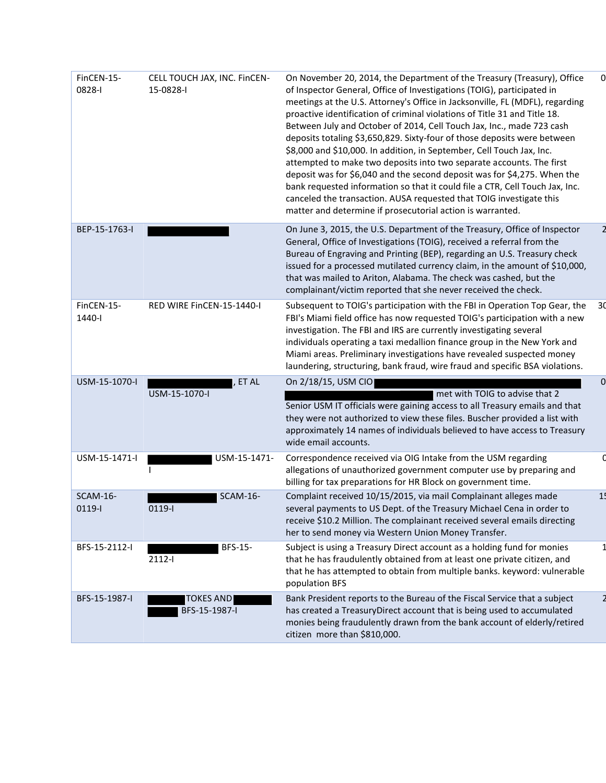| FinCEN-15-<br>0828-I          | CELL TOUCH JAX, INC. FINCEN-<br>15-0828-l | On November 20, 2014, the Department of the Treasury (Treasury), Office<br>of Inspector General, Office of Investigations (TOIG), participated in<br>meetings at the U.S. Attorney's Office in Jacksonville, FL (MDFL), regarding<br>proactive identification of criminal violations of Title 31 and Title 18.<br>Between July and October of 2014, Cell Touch Jax, Inc., made 723 cash<br>deposits totaling \$3,650,829. Sixty-four of those deposits were between<br>\$8,000 and \$10,000. In addition, in September, Cell Touch Jax, Inc.<br>attempted to make two deposits into two separate accounts. The first<br>deposit was for \$6,040 and the second deposit was for \$4,275. When the<br>bank requested information so that it could file a CTR, Cell Touch Jax, Inc.<br>canceled the transaction. AUSA requested that TOIG investigate this<br>matter and determine if prosecutorial action is warranted. | 0              |
|-------------------------------|-------------------------------------------|-----------------------------------------------------------------------------------------------------------------------------------------------------------------------------------------------------------------------------------------------------------------------------------------------------------------------------------------------------------------------------------------------------------------------------------------------------------------------------------------------------------------------------------------------------------------------------------------------------------------------------------------------------------------------------------------------------------------------------------------------------------------------------------------------------------------------------------------------------------------------------------------------------------------------|----------------|
| BEP-15-1763-I                 |                                           | On June 3, 2015, the U.S. Department of the Treasury, Office of Inspector<br>General, Office of Investigations (TOIG), received a referral from the<br>Bureau of Engraving and Printing (BEP), regarding an U.S. Treasury check<br>issued for a processed mutilated currency claim, in the amount of \$10,000,<br>that was mailed to Ariton, Alabama. The check was cashed, but the<br>complainant/victim reported that she never received the check.                                                                                                                                                                                                                                                                                                                                                                                                                                                                 |                |
| FinCEN-15-<br>1440-l          | RED WIRE FINCEN-15-1440-I                 | Subsequent to TOIG's participation with the FBI in Operation Top Gear, the<br>FBI's Miami field office has now requested TOIG's participation with a new<br>investigation. The FBI and IRS are currently investigating several<br>individuals operating a taxi medallion finance group in the New York and<br>Miami areas. Preliminary investigations have revealed suspected money<br>laundering, structuring, bank fraud, wire fraud and specific BSA violations.                                                                                                                                                                                                                                                                                                                                                                                                                                                   | 30             |
| USM-15-1070-I                 | ET AL<br>USM-15-1070-I                    | On 2/18/15, USM CIO<br>met with TOIG to advise that 2<br>Senior USM IT officials were gaining access to all Treasury emails and that<br>they were not authorized to view these files. Buscher provided a list with<br>approximately 14 names of individuals believed to have access to Treasury<br>wide email accounts.                                                                                                                                                                                                                                                                                                                                                                                                                                                                                                                                                                                               | $\overline{0}$ |
| USM-15-1471-I                 | USM-15-1471-                              | Correspondence received via OIG Intake from the USM regarding<br>allegations of unauthorized government computer use by preparing and<br>billing for tax preparations for HR Block on government time.                                                                                                                                                                                                                                                                                                                                                                                                                                                                                                                                                                                                                                                                                                                |                |
| <b>SCAM-16-</b><br>$0119 - 1$ | SCAM-16-<br>0119-1                        | Complaint received 10/15/2015, via mail Complainant alleges made<br>several payments to US Dept. of the Treasury Michael Cena in order to<br>receive \$10.2 Million. The complainant received several emails directing<br>her to send money via Western Union Money Transfer.                                                                                                                                                                                                                                                                                                                                                                                                                                                                                                                                                                                                                                         | 1!             |
| BFS-15-2112-I                 | <b>BFS-15-</b><br>2112-1                  | Subject is using a Treasury Direct account as a holding fund for monies<br>that he has fraudulently obtained from at least one private citizen, and<br>that he has attempted to obtain from multiple banks. keyword: vulnerable<br>population BFS                                                                                                                                                                                                                                                                                                                                                                                                                                                                                                                                                                                                                                                                     |                |
| BFS-15-1987-I                 | <b>TOKES AND</b><br>BFS-15-1987-I         | Bank President reports to the Bureau of the Fiscal Service that a subject<br>has created a TreasuryDirect account that is being used to accumulated<br>monies being fraudulently drawn from the bank account of elderly/retired<br>citizen more than \$810,000.                                                                                                                                                                                                                                                                                                                                                                                                                                                                                                                                                                                                                                                       |                |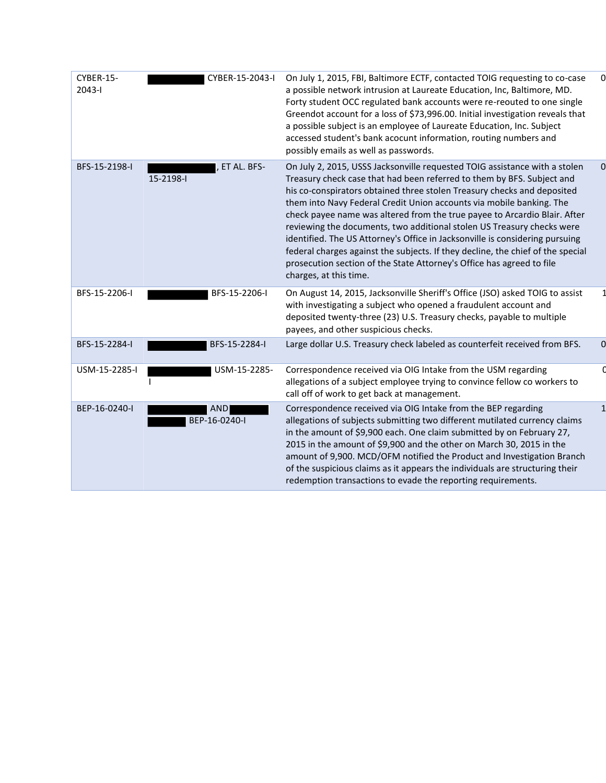| CYBER-15-<br>$2043 - 1$ | CYBER-15-2043-I             | On July 1, 2015, FBI, Baltimore ECTF, contacted TOIG requesting to co-case<br>a possible network intrusion at Laureate Education, Inc, Baltimore, MD.<br>Forty student OCC regulated bank accounts were re-reouted to one single<br>Greendot account for a loss of \$73,996.00. Initial investigation reveals that<br>a possible subject is an employee of Laureate Education, Inc. Subject<br>accessed student's bank acocunt information, routing numbers and<br>possibly emails as well as passwords.                                                                                                                                                                                                                             |  |
|-------------------------|-----------------------------|--------------------------------------------------------------------------------------------------------------------------------------------------------------------------------------------------------------------------------------------------------------------------------------------------------------------------------------------------------------------------------------------------------------------------------------------------------------------------------------------------------------------------------------------------------------------------------------------------------------------------------------------------------------------------------------------------------------------------------------|--|
| BFS-15-2198-I           | , ET AL. BFS-<br>15-2198-l  | On July 2, 2015, USSS Jacksonville requested TOIG assistance with a stolen<br>Treasury check case that had been referred to them by BFS. Subject and<br>his co-conspirators obtained three stolen Treasury checks and deposited<br>them into Navy Federal Credit Union accounts via mobile banking. The<br>check payee name was altered from the true payee to Arcardio Blair. After<br>reviewing the documents, two additional stolen US Treasury checks were<br>identified. The US Attorney's Office in Jacksonville is considering pursuing<br>federal charges against the subjects. If they decline, the chief of the special<br>prosecution section of the State Attorney's Office has agreed to file<br>charges, at this time. |  |
| BFS-15-2206-I           | BFS-15-2206-I               | On August 14, 2015, Jacksonville Sheriff's Office (JSO) asked TOIG to assist<br>with investigating a subject who opened a fraudulent account and<br>deposited twenty-three (23) U.S. Treasury checks, payable to multiple<br>payees, and other suspicious checks.                                                                                                                                                                                                                                                                                                                                                                                                                                                                    |  |
| BFS-15-2284-I           | BFS-15-2284-I               | Large dollar U.S. Treasury check labeled as counterfeit received from BFS.                                                                                                                                                                                                                                                                                                                                                                                                                                                                                                                                                                                                                                                           |  |
| USM-15-2285-I           | USM-15-2285-                | Correspondence received via OIG Intake from the USM regarding<br>allegations of a subject employee trying to convince fellow co workers to<br>call off of work to get back at management.                                                                                                                                                                                                                                                                                                                                                                                                                                                                                                                                            |  |
| BEP-16-0240-I           | <b>AND</b><br>BEP-16-0240-I | Correspondence received via OIG Intake from the BEP regarding<br>allegations of subjects submitting two different mutilated currency claims<br>in the amount of \$9,900 each. One claim submitted by on February 27,<br>2015 in the amount of \$9,900 and the other on March 30, 2015 in the<br>amount of 9,900. MCD/OFM notified the Product and Investigation Branch<br>of the suspicious claims as it appears the individuals are structuring their<br>redemption transactions to evade the reporting requirements.                                                                                                                                                                                                               |  |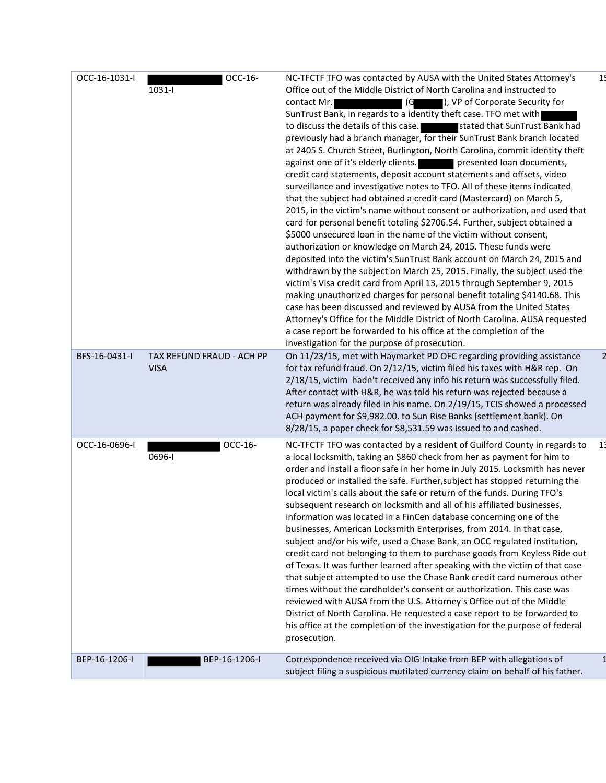| OCC-16-1031-I | OCC-16-<br>1031-l                        | NC-TFCTF TFO was contacted by AUSA with the United States Attorney's<br>Office out of the Middle District of North Carolina and instructed to<br>), VP of Corporate Security for<br>contact Mr.<br>(G<br>SunTrust Bank, in regards to a identity theft case. TFO met with<br>to discuss the details of this case.<br>stated that SunTrust Bank had<br>previously had a branch manager, for their SunTrust Bank branch located<br>at 2405 S. Church Street, Burlington, North Carolina, commit identity theft<br>against one of it's elderly clients. The presented loan documents,<br>credit card statements, deposit account statements and offsets, video<br>surveillance and investigative notes to TFO. All of these items indicated<br>that the subject had obtained a credit card (Mastercard) on March 5,<br>2015, in the victim's name without consent or authorization, and used that<br>card for personal benefit totaling \$2706.54. Further, subject obtained a<br>\$5000 unsecured loan in the name of the victim without consent,<br>authorization or knowledge on March 24, 2015. These funds were<br>deposited into the victim's SunTrust Bank account on March 24, 2015 and<br>withdrawn by the subject on March 25, 2015. Finally, the subject used the<br>victim's Visa credit card from April 13, 2015 through September 9, 2015<br>making unauthorized charges for personal benefit totaling \$4140.68. This<br>case has been discussed and reviewed by AUSA from the United States<br>Attorney's Office for the Middle District of North Carolina. AUSA requested<br>a case report be forwarded to his office at the completion of the<br>investigation for the purpose of prosecution. | 1 <sub>1</sub> |
|---------------|------------------------------------------|---------------------------------------------------------------------------------------------------------------------------------------------------------------------------------------------------------------------------------------------------------------------------------------------------------------------------------------------------------------------------------------------------------------------------------------------------------------------------------------------------------------------------------------------------------------------------------------------------------------------------------------------------------------------------------------------------------------------------------------------------------------------------------------------------------------------------------------------------------------------------------------------------------------------------------------------------------------------------------------------------------------------------------------------------------------------------------------------------------------------------------------------------------------------------------------------------------------------------------------------------------------------------------------------------------------------------------------------------------------------------------------------------------------------------------------------------------------------------------------------------------------------------------------------------------------------------------------------------------------------------------------------------------------------------------------------------------------|----------------|
| BFS-16-0431-I | TAX REFUND FRAUD - ACH PP<br><b>VISA</b> | On 11/23/15, met with Haymarket PD OFC regarding providing assistance<br>for tax refund fraud. On 2/12/15, victim filed his taxes with H&R rep. On<br>2/18/15, victim hadn't received any info his return was successfully filed.<br>After contact with H&R, he was told his return was rejected because a<br>return was already filed in his name. On 2/19/15, TCIS showed a processed<br>ACH payment for \$9,982.00. to Sun Rise Banks (settlement bank). On<br>8/28/15, a paper check for \$8,531.59 was issued to and cashed.                                                                                                                                                                                                                                                                                                                                                                                                                                                                                                                                                                                                                                                                                                                                                                                                                                                                                                                                                                                                                                                                                                                                                                             |                |
| OCC-16-0696-I | OCC-16-<br>0696-l                        | NC-TFCTF TFO was contacted by a resident of Guilford County in regards to<br>a local locksmith, taking an \$860 check from her as payment for him to<br>order and install a floor safe in her home in July 2015. Locksmith has never<br>produced or installed the safe. Further, subject has stopped returning the<br>local victim's calls about the safe or return of the funds. During TFO's<br>subsequent research on locksmith and all of his affiliated businesses,<br>information was located in a FinCen database concerning one of the<br>businesses, American Locksmith Enterprises, from 2014. In that case,<br>subject and/or his wife, used a Chase Bank, an OCC regulated institution,<br>credit card not belonging to them to purchase goods from Keyless Ride out<br>of Texas. It was further learned after speaking with the victim of that case<br>that subject attempted to use the Chase Bank credit card numerous other<br>times without the cardholder's consent or authorization. This case was<br>reviewed with AUSA from the U.S. Attorney's Office out of the Middle<br>District of North Carolina. He requested a case report to be forwarded to<br>his office at the completion of the investigation for the purpose of federal<br>prosecution.                                                                                                                                                                                                                                                                                                                                                                                                                                    | 1 <sub>1</sub> |
| BEP-16-1206-I | BEP-16-1206-I                            | Correspondence received via OIG Intake from BEP with allegations of<br>subject filing a suspicious mutilated currency claim on behalf of his father.                                                                                                                                                                                                                                                                                                                                                                                                                                                                                                                                                                                                                                                                                                                                                                                                                                                                                                                                                                                                                                                                                                                                                                                                                                                                                                                                                                                                                                                                                                                                                          |                |

 $\overline{c}$ 

 $\mathbf{1}$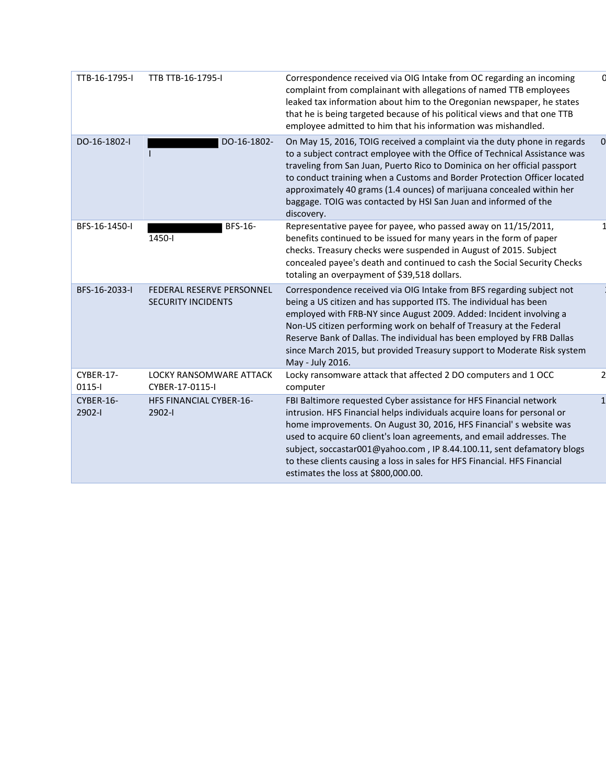| TTB-16-1795-I         | TTB TTB-16-1795-I                                      | Correspondence received via OIG Intake from OC regarding an incoming<br>complaint from complainant with allegations of named TTB employees<br>leaked tax information about him to the Oregonian newspaper, he states<br>that he is being targeted because of his political views and that one TTB<br>employee admitted to him that his information was mishandled.                                                                                                                          |          |
|-----------------------|--------------------------------------------------------|---------------------------------------------------------------------------------------------------------------------------------------------------------------------------------------------------------------------------------------------------------------------------------------------------------------------------------------------------------------------------------------------------------------------------------------------------------------------------------------------|----------|
| DO-16-1802-I          | DO-16-1802-                                            | On May 15, 2016, TOIG received a complaint via the duty phone in regards<br>to a subject contract employee with the Office of Technical Assistance was<br>traveling from San Juan, Puerto Rico to Dominica on her official passport<br>to conduct training when a Customs and Border Protection Officer located<br>approximately 40 grams (1.4 ounces) of marijuana concealed within her<br>baggage. TOIG was contacted by HSI San Juan and informed of the<br>discovery.                   | $\Omega$ |
| BFS-16-1450-I         | BFS-16-<br>1450-l                                      | Representative payee for payee, who passed away on 11/15/2011,<br>benefits continued to be issued for many years in the form of paper<br>checks. Treasury checks were suspended in August of 2015. Subject<br>concealed payee's death and continued to cash the Social Security Checks<br>totaling an overpayment of \$39,518 dollars.                                                                                                                                                      |          |
| BFS-16-2033-I         | FEDERAL RESERVE PERSONNEL<br><b>SECURITY INCIDENTS</b> | Correspondence received via OIG Intake from BFS regarding subject not<br>being a US citizen and has supported ITS. The individual has been<br>employed with FRB-NY since August 2009. Added: Incident involving a<br>Non-US citizen performing work on behalf of Treasury at the Federal<br>Reserve Bank of Dallas. The individual has been employed by FRB Dallas<br>since March 2015, but provided Treasury support to Moderate Risk system<br>May - July 2016.                           |          |
| CYBER-17-<br>$0115 -$ | LOCKY RANSOMWARE ATTACK<br>CYBER-17-0115-I             | Locky ransomware attack that affected 2 DO computers and 1 OCC<br>computer                                                                                                                                                                                                                                                                                                                                                                                                                  |          |
| CYBER-16-<br>2902-1   | <b>HFS FINANCIAL CYBER-16-</b><br>2902-l               | FBI Baltimore requested Cyber assistance for HFS Financial network<br>intrusion. HFS Financial helps individuals acquire loans for personal or<br>home improvements. On August 30, 2016, HFS Financial's website was<br>used to acquire 60 client's loan agreements, and email addresses. The<br>subject, soccastar001@yahoo.com, IP 8.44.100.11, sent defamatory blogs<br>to these clients causing a loss in sales for HFS Financial. HFS Financial<br>estimates the loss at \$800,000.00. |          |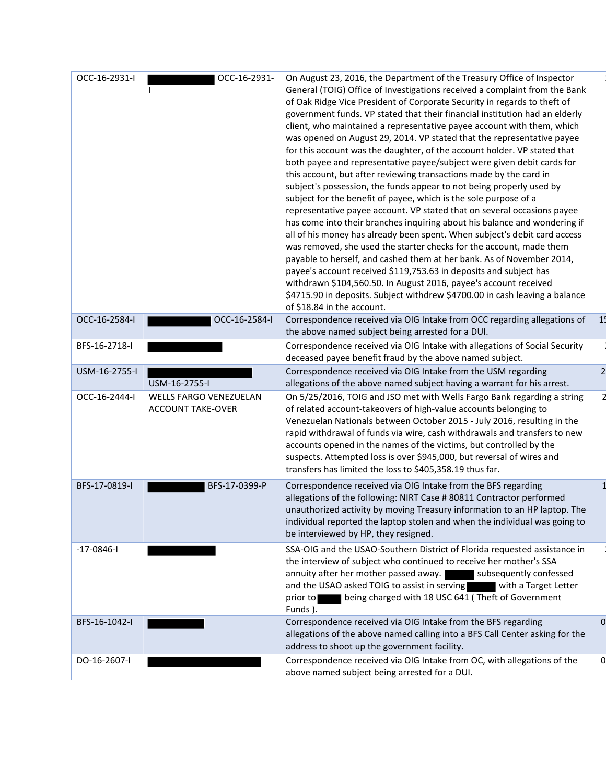| OCC-16-2931-I    | OCC-16-2931-                                              | On August 23, 2016, the Department of the Treasury Office of Inspector<br>General (TOIG) Office of Investigations received a complaint from the Bank<br>of Oak Ridge Vice President of Corporate Security in regards to theft of<br>government funds. VP stated that their financial institution had an elderly<br>client, who maintained a representative payee account with them, which<br>was opened on August 29, 2014. VP stated that the representative payee<br>for this account was the daughter, of the account holder. VP stated that<br>both payee and representative payee/subject were given debit cards for<br>this account, but after reviewing transactions made by the card in<br>subject's possession, the funds appear to not being properly used by<br>subject for the benefit of payee, which is the sole purpose of a<br>representative payee account. VP stated that on several occasions payee<br>has come into their branches inquiring about his balance and wondering if<br>all of his money has already been spent. When subject's debit card access<br>was removed, she used the starter checks for the account, made them<br>payable to herself, and cashed them at her bank. As of November 2014,<br>payee's account received \$119,753.63 in deposits and subject has<br>withdrawn \$104,560.50. In August 2016, payee's account received<br>\$4715.90 in deposits. Subject withdrew \$4700.00 in cash leaving a balance<br>of \$18.84 in the account. |                |
|------------------|-----------------------------------------------------------|----------------------------------------------------------------------------------------------------------------------------------------------------------------------------------------------------------------------------------------------------------------------------------------------------------------------------------------------------------------------------------------------------------------------------------------------------------------------------------------------------------------------------------------------------------------------------------------------------------------------------------------------------------------------------------------------------------------------------------------------------------------------------------------------------------------------------------------------------------------------------------------------------------------------------------------------------------------------------------------------------------------------------------------------------------------------------------------------------------------------------------------------------------------------------------------------------------------------------------------------------------------------------------------------------------------------------------------------------------------------------------------------------------------------------------------------------------------------------------------|----------------|
| OCC-16-2584-I    | OCC-16-2584-I                                             | Correspondence received via OIG Intake from OCC regarding allegations of<br>the above named subject being arrested for a DUI.                                                                                                                                                                                                                                                                                                                                                                                                                                                                                                                                                                                                                                                                                                                                                                                                                                                                                                                                                                                                                                                                                                                                                                                                                                                                                                                                                          | -15            |
| BFS-16-2718-I    |                                                           | Correspondence received via OIG Intake with allegations of Social Security<br>deceased payee benefit fraud by the above named subject.                                                                                                                                                                                                                                                                                                                                                                                                                                                                                                                                                                                                                                                                                                                                                                                                                                                                                                                                                                                                                                                                                                                                                                                                                                                                                                                                                 |                |
| USM-16-2755-I    | USM-16-2755-I                                             | Correspondence received via OIG Intake from the USM regarding<br>allegations of the above named subject having a warrant for his arrest.                                                                                                                                                                                                                                                                                                                                                                                                                                                                                                                                                                                                                                                                                                                                                                                                                                                                                                                                                                                                                                                                                                                                                                                                                                                                                                                                               |                |
| OCC-16-2444-I    | <b>WELLS FARGO VENEZUELAN</b><br><b>ACCOUNT TAKE-OVER</b> | On 5/25/2016, TOIG and JSO met with Wells Fargo Bank regarding a string<br>of related account-takeovers of high-value accounts belonging to<br>Venezuelan Nationals between October 2015 - July 2016, resulting in the<br>rapid withdrawal of funds via wire, cash withdrawals and transfers to new<br>accounts opened in the names of the victims, but controlled by the<br>suspects. Attempted loss is over \$945,000, but reversal of wires and<br>transfers has limited the loss to \$405,358.19 thus far.                                                                                                                                                                                                                                                                                                                                                                                                                                                                                                                                                                                                                                                                                                                                                                                                                                                                                                                                                                         |                |
| BFS-17-0819-I    | BFS-17-0399-P                                             | Correspondence received via OIG Intake from the BFS regarding<br>allegations of the following: NIRT Case # 80811 Contractor performed<br>unauthorized activity by moving Treasury information to an HP laptop. The<br>individual reported the laptop stolen and when the individual was going to<br>be interviewed by HP, they resigned.                                                                                                                                                                                                                                                                                                                                                                                                                                                                                                                                                                                                                                                                                                                                                                                                                                                                                                                                                                                                                                                                                                                                               |                |
| $-17 - 0846 - 1$ |                                                           | SSA-OIG and the USAO-Southern District of Florida requested assistance in<br>the interview of subject who continued to receive her mother's SSA<br>annuity after her mother passed away. Subsequently confessed<br>and the USAO asked TOIG to assist in serving<br>with a Target Letter<br>being charged with 18 USC 641 (Theft of Government<br>prior to<br>Funds).                                                                                                                                                                                                                                                                                                                                                                                                                                                                                                                                                                                                                                                                                                                                                                                                                                                                                                                                                                                                                                                                                                                   |                |
| BFS-16-1042-I    |                                                           | Correspondence received via OIG Intake from the BFS regarding<br>allegations of the above named calling into a BFS Call Center asking for the<br>address to shoot up the government facility.                                                                                                                                                                                                                                                                                                                                                                                                                                                                                                                                                                                                                                                                                                                                                                                                                                                                                                                                                                                                                                                                                                                                                                                                                                                                                          | $\overline{0}$ |
| DO-16-2607-I     |                                                           | Correspondence received via OIG Intake from OC, with allegations of the<br>above named subject being arrested for a DUI.                                                                                                                                                                                                                                                                                                                                                                                                                                                                                                                                                                                                                                                                                                                                                                                                                                                                                                                                                                                                                                                                                                                                                                                                                                                                                                                                                               | 0              |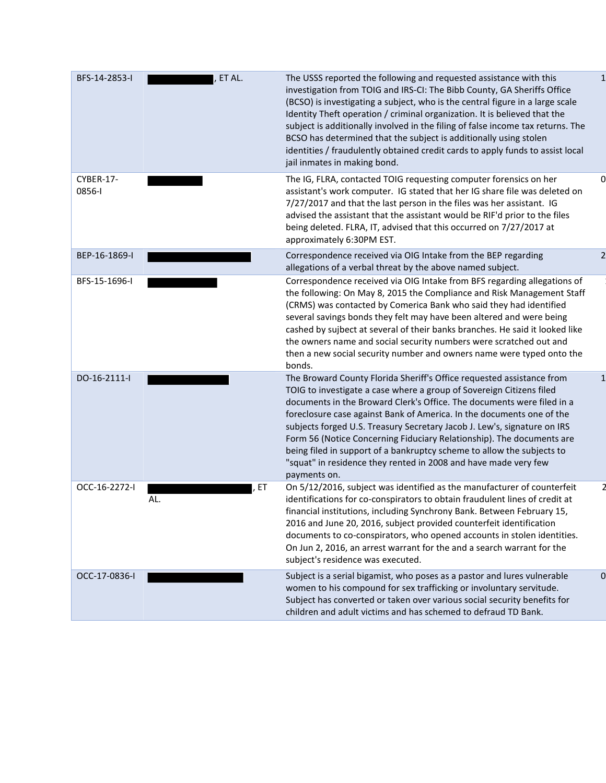| BFS-14-2853-I       | ET AL.      | The USSS reported the following and requested assistance with this<br>investigation from TOIG and IRS-CI: The Bibb County, GA Sheriffs Office<br>(BCSO) is investigating a subject, who is the central figure in a large scale<br>Identity Theft operation / criminal organization. It is believed that the<br>subject is additionally involved in the filing of false income tax returns. The<br>BCSO has determined that the subject is additionally using stolen<br>identities / fraudulently obtained credit cards to apply funds to assist local<br>jail inmates in making bond.                              |                |
|---------------------|-------------|--------------------------------------------------------------------------------------------------------------------------------------------------------------------------------------------------------------------------------------------------------------------------------------------------------------------------------------------------------------------------------------------------------------------------------------------------------------------------------------------------------------------------------------------------------------------------------------------------------------------|----------------|
| CYBER-17-<br>0856-1 |             | The IG, FLRA, contacted TOIG requesting computer forensics on her<br>assistant's work computer. IG stated that her IG share file was deleted on<br>7/27/2017 and that the last person in the files was her assistant. IG<br>advised the assistant that the assistant would be RIF'd prior to the files<br>being deleted. FLRA, IT, advised that this occurred on 7/27/2017 at<br>approximately 6:30PM EST.                                                                                                                                                                                                         |                |
| BEP-16-1869-I       |             | Correspondence received via OIG Intake from the BEP regarding<br>allegations of a verbal threat by the above named subject.                                                                                                                                                                                                                                                                                                                                                                                                                                                                                        |                |
| BFS-15-1696-I       |             | Correspondence received via OIG Intake from BFS regarding allegations of<br>the following: On May 8, 2015 the Compliance and Risk Management Staff<br>(CRMS) was contacted by Comerica Bank who said they had identified<br>several savings bonds they felt may have been altered and were being<br>cashed by sujbect at several of their banks branches. He said it looked like<br>the owners name and social security numbers were scratched out and<br>then a new social security number and owners name were typed onto the<br>bonds.                                                                          |                |
| DO-16-2111-I        |             | The Broward County Florida Sheriff's Office requested assistance from<br>TOIG to investigate a case where a group of Sovereign Citizens filed<br>documents in the Broward Clerk's Office. The documents were filed in a<br>foreclosure case against Bank of America. In the documents one of the<br>subjects forged U.S. Treasury Secretary Jacob J. Lew's, signature on IRS<br>Form 56 (Notice Concerning Fiduciary Relationship). The documents are<br>being filed in support of a bankruptcy scheme to allow the subjects to<br>"squat" in residence they rented in 2008 and have made very few<br>payments on. |                |
| OCC-16-2272-I       | , ET<br>AL. | On 5/12/2016, subject was identified as the manufacturer of counterfeit<br>identifications for co-conspirators to obtain fraudulent lines of credit at<br>financial institutions, including Synchrony Bank. Between February 15,<br>2016 and June 20, 2016, subject provided counterfeit identification<br>documents to co-conspirators, who opened accounts in stolen identities.<br>On Jun 2, 2016, an arrest warrant for the and a search warrant for the<br>subject's residence was executed.                                                                                                                  |                |
| OCC-17-0836-I       |             | Subject is a serial bigamist, who poses as a pastor and lures vulnerable<br>women to his compound for sex trafficking or involuntary servitude.<br>Subject has converted or taken over various social security benefits for<br>children and adult victims and has schemed to defraud TD Bank.                                                                                                                                                                                                                                                                                                                      | $\overline{0}$ |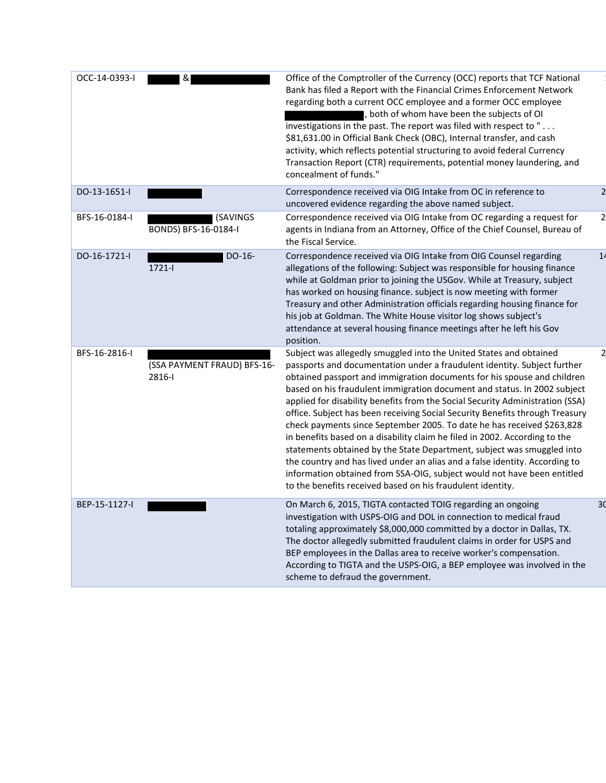| OCC-14-0393-I | &                                     | Office of the Comptroller of the Currency (OCC) reports that TCF National<br>Bank has filed a Report with the Financial Crimes Enforcement Network<br>regarding both a current OCC employee and a former OCC employee<br>both of whom have been the subjects of OI<br>investigations in the past. The report was filed with respect to "<br>\$81,631.00 in Official Bank Check (OBC), Internal transfer, and cash<br>activity, which reflects potential structuring to avoid federal Currency<br>Transaction Report (CTR) requirements, potential money laundering, and<br>concealment of funds."                                                                                                                                                                                                                                                                                                                                |    |
|---------------|---------------------------------------|----------------------------------------------------------------------------------------------------------------------------------------------------------------------------------------------------------------------------------------------------------------------------------------------------------------------------------------------------------------------------------------------------------------------------------------------------------------------------------------------------------------------------------------------------------------------------------------------------------------------------------------------------------------------------------------------------------------------------------------------------------------------------------------------------------------------------------------------------------------------------------------------------------------------------------|----|
| DO-13-1651-I  |                                       | Correspondence received via OIG Intake from OC in reference to<br>uncovered evidence regarding the above named subject.                                                                                                                                                                                                                                                                                                                                                                                                                                                                                                                                                                                                                                                                                                                                                                                                          |    |
| BFS-16-0184-I | (SAVINGS<br>BONDS) BFS-16-0184-I      | Correspondence received via OIG Intake from OC regarding a request for<br>agents in Indiana from an Attorney, Office of the Chief Counsel, Bureau of<br>the Fiscal Service.                                                                                                                                                                                                                                                                                                                                                                                                                                                                                                                                                                                                                                                                                                                                                      | 2  |
| DO-16-1721-I  | $DO-16-$<br>$1721 -$                  | Correspondence received via OIG Intake from OIG Counsel regarding<br>allegations of the following: Subject was responsible for housing finance<br>while at Goldman prior to joining the USGov. While at Treasury, subject<br>has worked on housing finance. subject is now meeting with former<br>Treasury and other Administration officials regarding housing finance for<br>his job at Goldman. The White House visitor log shows subject's<br>attendance at several housing finance meetings after he left his Gov<br>position.                                                                                                                                                                                                                                                                                                                                                                                              | 14 |
| BFS-16-2816-I | (SSA PAYMENT FRAUD) BFS-16-<br>2816-l | Subject was allegedly smuggled into the United States and obtained<br>passports and documentation under a fraudulent identity. Subject further<br>obtained passport and immigration documents for his spouse and children<br>based on his fraudulent immigration document and status. In 2002 subject<br>applied for disability benefits from the Social Security Administration (SSA)<br>office. Subject has been receiving Social Security Benefits through Treasury<br>check payments since September 2005. To date he has received \$263,828<br>in benefits based on a disability claim he filed in 2002. According to the<br>statements obtained by the State Department, subject was smuggled into<br>the country and has lived under an alias and a false identity. According to<br>information obtained from SSA-OIG, subject would not have been entitled<br>to the benefits received based on his fraudulent identity. |    |
| BEP-15-1127-I |                                       | On March 6, 2015, TIGTA contacted TOIG regarding an ongoing<br>investigation with USPS-OIG and DOL in connection to medical fraud<br>totaling approximately \$8,000,000 committed by a doctor in Dallas, TX.<br>The doctor allegedly submitted fraudulent claims in order for USPS and<br>BEP employees in the Dallas area to receive worker's compensation.<br>According to TIGTA and the USPS-OIG, a BEP employee was involved in the<br>scheme to defraud the government.                                                                                                                                                                                                                                                                                                                                                                                                                                                     | 30 |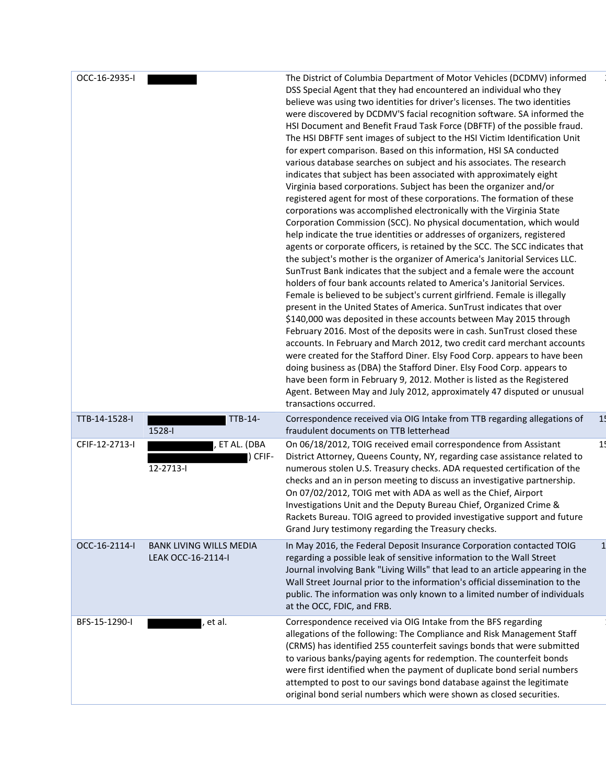| OCC-16-2935-I<br>The District of Columbia Department of Motor Vehicles (DCDMV) informed<br>DSS Special Agent that they had encountered an individual who they<br>believe was using two identities for driver's licenses. The two identities<br>were discovered by DCDMV'S facial recognition software. SA informed the<br>HSI Document and Benefit Fraud Task Force (DBFTF) of the possible fraud.<br>The HSI DBFTF sent images of subject to the HSI Victim Identification Unit<br>for expert comparison. Based on this information, HSI SA conducted<br>various database searches on subject and his associates. The research<br>indicates that subject has been associated with approximately eight<br>Virginia based corporations. Subject has been the organizer and/or<br>registered agent for most of these corporations. The formation of these<br>corporations was accomplished electronically with the Virginia State<br>Corporation Commission (SCC). No physical documentation, which would<br>help indicate the true identities or addresses of organizers, registered<br>agents or corporate officers, is retained by the SCC. The SCC indicates that<br>the subject's mother is the organizer of America's Janitorial Services LLC.<br>SunTrust Bank indicates that the subject and a female were the account<br>holders of four bank accounts related to America's Janitorial Services.<br>Female is believed to be subject's current girlfriend. Female is illegally<br>present in the United States of America. SunTrust indicates that over<br>\$140,000 was deposited in these accounts between May 2015 through<br>February 2016. Most of the deposits were in cash. SunTrust closed these<br>accounts. In February and March 2012, two credit card merchant accounts<br>were created for the Stafford Diner. Elsy Food Corp. appears to have been<br>doing business as (DBA) the Stafford Diner. Elsy Food Corp. appears to<br>have been form in February 9, 2012. Mother is listed as the Registered<br>Agent. Between May and July 2012, approximately 47 disputed or unusual<br>transactions occurred.<br>TTB-14-1528-I<br>TTB-14-<br>Correspondence received via OIG Intake from TTB regarding allegations of<br>1!<br>1528-l<br>fraudulent documents on TTB letterhead<br>On 06/18/2012, TOIG received email correspondence from Assistant<br>1 <sub>1</sub><br>CFIF-12-2713-I<br>ET AL. (DBA<br>District Attorney, Queens County, NY, regarding case assistance related to<br>CFIF-<br>12-2713-l<br>numerous stolen U.S. Treasury checks. ADA requested certification of the<br>checks and an in person meeting to discuss an investigative partnership.<br>On 07/02/2012, TOIG met with ADA as well as the Chief, Airport<br>Investigations Unit and the Deputy Bureau Chief, Organized Crime &<br>Rackets Bureau. TOIG agreed to provided investigative support and future<br>Grand Jury testimony regarding the Treasury checks.<br>OCC-16-2114-I<br><b>BANK LIVING WILLS MEDIA</b><br>In May 2016, the Federal Deposit Insurance Corporation contacted TOIG<br>LEAK OCC-16-2114-I<br>regarding a possible leak of sensitive information to the Wall Street<br>Journal involving Bank "Living Wills" that lead to an article appearing in the<br>Wall Street Journal prior to the information's official dissemination to the<br>public. The information was only known to a limited number of individuals<br>at the OCC, FDIC, and FRB.<br>Correspondence received via OIG Intake from the BFS regarding<br>BFS-15-1290-I<br>et al.<br>allegations of the following: The Compliance and Risk Management Staff<br>(CRMS) has identified 255 counterfeit savings bonds that were submitted<br>to various banks/paying agents for redemption. The counterfeit bonds<br>were first identified when the payment of duplicate bond serial numbers<br>attempted to post to our savings bond database against the legitimate<br>original bond serial numbers which were shown as closed securities. |
|-----------------------------------------------------------------------------------------------------------------------------------------------------------------------------------------------------------------------------------------------------------------------------------------------------------------------------------------------------------------------------------------------------------------------------------------------------------------------------------------------------------------------------------------------------------------------------------------------------------------------------------------------------------------------------------------------------------------------------------------------------------------------------------------------------------------------------------------------------------------------------------------------------------------------------------------------------------------------------------------------------------------------------------------------------------------------------------------------------------------------------------------------------------------------------------------------------------------------------------------------------------------------------------------------------------------------------------------------------------------------------------------------------------------------------------------------------------------------------------------------------------------------------------------------------------------------------------------------------------------------------------------------------------------------------------------------------------------------------------------------------------------------------------------------------------------------------------------------------------------------------------------------------------------------------------------------------------------------------------------------------------------------------------------------------------------------------------------------------------------------------------------------------------------------------------------------------------------------------------------------------------------------------------------------------------------------------------------------------------------------------------------------------------------------------------------------------------------------------------------------------------------------------------------------------------------------------------------------------------------------------------------------------------------------------------------------------------------------------------------------------------------------------------------------------------------------------------------------------------------------------------------------------------------------------------------------------------------------------------------------------------------------------------------------------------------------------------------------------------------------------------------------------------------------------------------------------------------------------------------------------------------------------------------------------------------------------------------------------------------------------------------------------------------------------------------------------------------------------------------------------------------------------------------------------------------------------------------------------------------------------------------------------------------------------------------------------------------------------------------------------------------------------------------------------------------------------------------------------------------------------------------------------------------------------------------------------------------------------------------------------------------------------|
|                                                                                                                                                                                                                                                                                                                                                                                                                                                                                                                                                                                                                                                                                                                                                                                                                                                                                                                                                                                                                                                                                                                                                                                                                                                                                                                                                                                                                                                                                                                                                                                                                                                                                                                                                                                                                                                                                                                                                                                                                                                                                                                                                                                                                                                                                                                                                                                                                                                                                                                                                                                                                                                                                                                                                                                                                                                                                                                                                                                                                                                                                                                                                                                                                                                                                                                                                                                                                                                                                                                                                                                                                                                                                                                                                                                                                                                                                                                                                                                                                             |
|                                                                                                                                                                                                                                                                                                                                                                                                                                                                                                                                                                                                                                                                                                                                                                                                                                                                                                                                                                                                                                                                                                                                                                                                                                                                                                                                                                                                                                                                                                                                                                                                                                                                                                                                                                                                                                                                                                                                                                                                                                                                                                                                                                                                                                                                                                                                                                                                                                                                                                                                                                                                                                                                                                                                                                                                                                                                                                                                                                                                                                                                                                                                                                                                                                                                                                                                                                                                                                                                                                                                                                                                                                                                                                                                                                                                                                                                                                                                                                                                                             |
|                                                                                                                                                                                                                                                                                                                                                                                                                                                                                                                                                                                                                                                                                                                                                                                                                                                                                                                                                                                                                                                                                                                                                                                                                                                                                                                                                                                                                                                                                                                                                                                                                                                                                                                                                                                                                                                                                                                                                                                                                                                                                                                                                                                                                                                                                                                                                                                                                                                                                                                                                                                                                                                                                                                                                                                                                                                                                                                                                                                                                                                                                                                                                                                                                                                                                                                                                                                                                                                                                                                                                                                                                                                                                                                                                                                                                                                                                                                                                                                                                             |
|                                                                                                                                                                                                                                                                                                                                                                                                                                                                                                                                                                                                                                                                                                                                                                                                                                                                                                                                                                                                                                                                                                                                                                                                                                                                                                                                                                                                                                                                                                                                                                                                                                                                                                                                                                                                                                                                                                                                                                                                                                                                                                                                                                                                                                                                                                                                                                                                                                                                                                                                                                                                                                                                                                                                                                                                                                                                                                                                                                                                                                                                                                                                                                                                                                                                                                                                                                                                                                                                                                                                                                                                                                                                                                                                                                                                                                                                                                                                                                                                                             |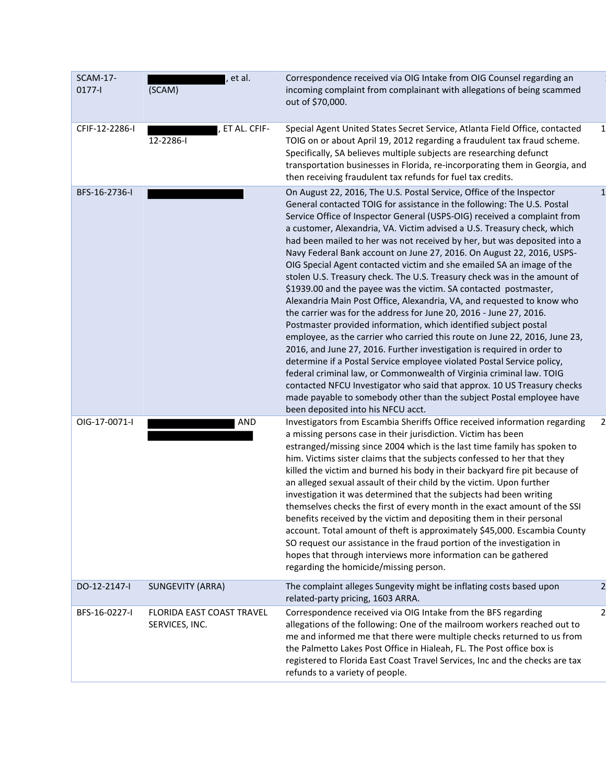| <b>SCAM-17-</b><br>$0177 -$ | et al.<br>(SCAM)                            | Correspondence received via OIG Intake from OIG Counsel regarding an<br>incoming complaint from complainant with allegations of being scammed<br>out of \$70,000.                                                                                                                                                                                                                                                                                                                                                                                                                                                                                                                                                                                                                                                                                                                                                                                                                                                                                                                                                                                                                                                                                                                                                                                                                                           |                         |
|-----------------------------|---------------------------------------------|-------------------------------------------------------------------------------------------------------------------------------------------------------------------------------------------------------------------------------------------------------------------------------------------------------------------------------------------------------------------------------------------------------------------------------------------------------------------------------------------------------------------------------------------------------------------------------------------------------------------------------------------------------------------------------------------------------------------------------------------------------------------------------------------------------------------------------------------------------------------------------------------------------------------------------------------------------------------------------------------------------------------------------------------------------------------------------------------------------------------------------------------------------------------------------------------------------------------------------------------------------------------------------------------------------------------------------------------------------------------------------------------------------------|-------------------------|
| CFIF-12-2286-I              | . ET AL. CFIF-<br>12-2286-l                 | Special Agent United States Secret Service, Atlanta Field Office, contacted<br>TOIG on or about April 19, 2012 regarding a fraudulent tax fraud scheme.<br>Specifically, SA believes multiple subjects are researching defunct<br>transportation businesses in Florida, re-incorporating them in Georgia, and<br>then receiving fraudulent tax refunds for fuel tax credits.                                                                                                                                                                                                                                                                                                                                                                                                                                                                                                                                                                                                                                                                                                                                                                                                                                                                                                                                                                                                                                | 1                       |
| BFS-16-2736-I               |                                             | On August 22, 2016, The U.S. Postal Service, Office of the Inspector<br>General contacted TOIG for assistance in the following: The U.S. Postal<br>Service Office of Inspector General (USPS-OIG) received a complaint from<br>a customer, Alexandria, VA. Victim advised a U.S. Treasury check, which<br>had been mailed to her was not received by her, but was deposited into a<br>Navy Federal Bank account on June 27, 2016. On August 22, 2016, USPS-<br>OIG Special Agent contacted victim and she emailed SA an image of the<br>stolen U.S. Treasury check. The U.S. Treasury check was in the amount of<br>\$1939.00 and the payee was the victim. SA contacted postmaster,<br>Alexandria Main Post Office, Alexandria, VA, and requested to know who<br>the carrier was for the address for June 20, 2016 - June 27, 2016.<br>Postmaster provided information, which identified subject postal<br>employee, as the carrier who carried this route on June 22, 2016, June 23,<br>2016, and June 27, 2016. Further investigation is required in order to<br>determine if a Postal Service employee violated Postal Service policy,<br>federal criminal law, or Commonwealth of Virginia criminal law. TOIG<br>contacted NFCU Investigator who said that approx. 10 US Treasury checks<br>made payable to somebody other than the subject Postal employee have<br>been deposited into his NFCU acct. |                         |
| OIG-17-0071-I               | AND                                         | Investigators from Escambia Sheriffs Office received information regarding<br>a missing persons case in their jurisdiction. Victim has been<br>estranged/missing since 2004 which is the last time family has spoken to<br>him. Victims sister claims that the subjects confessed to her that they<br>killed the victim and burned his body in their backyard fire pit because of<br>an alleged sexual assault of their child by the victim. Upon further<br>investigation it was determined that the subjects had been writing<br>themselves checks the first of every month in the exact amount of the SSI<br>benefits received by the victim and depositing them in their personal<br>account. Total amount of theft is approximately \$45,000. Escambia County<br>SO request our assistance in the fraud portion of the investigation in<br>hopes that through interviews more information can be gathered<br>regarding the homicide/missing person.                                                                                                                                                                                                                                                                                                                                                                                                                                                    |                         |
| DO-12-2147-I                | <b>SUNGEVITY (ARRA)</b>                     | The complaint alleges Sungevity might be inflating costs based upon<br>related-party pricing, 1603 ARRA.                                                                                                                                                                                                                                                                                                                                                                                                                                                                                                                                                                                                                                                                                                                                                                                                                                                                                                                                                                                                                                                                                                                                                                                                                                                                                                    | $\overline{a}$          |
| BFS-16-0227-I               | FLORIDA EAST COAST TRAVEL<br>SERVICES, INC. | Correspondence received via OIG Intake from the BFS regarding<br>allegations of the following: One of the mailroom workers reached out to<br>me and informed me that there were multiple checks returned to us from<br>the Palmetto Lakes Post Office in Hialeah, FL. The Post office box is<br>registered to Florida East Coast Travel Services, Inc and the checks are tax<br>refunds to a variety of people.                                                                                                                                                                                                                                                                                                                                                                                                                                                                                                                                                                                                                                                                                                                                                                                                                                                                                                                                                                                             | $\overline{\mathbf{c}}$ |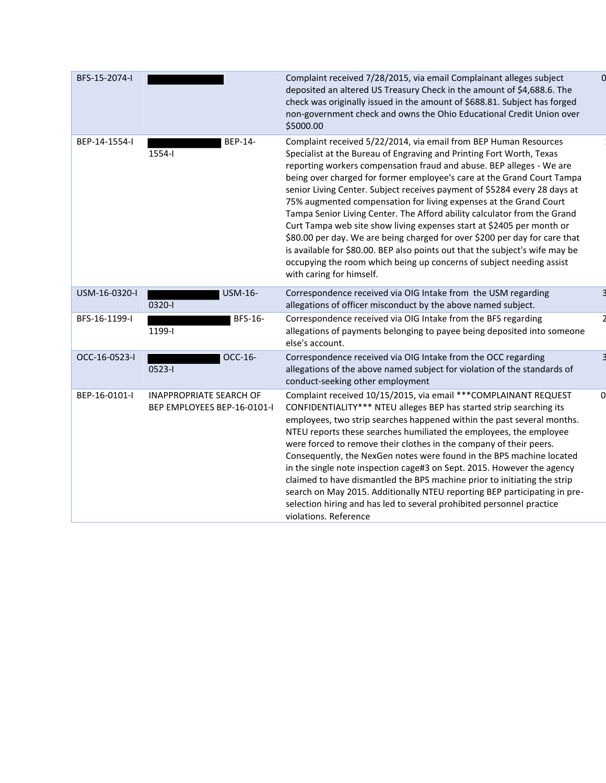| BFS-15-2074-I |                                                               | Complaint received 7/28/2015, via email Complainant alleges subject<br>deposited an altered US Treasury Check in the amount of \$4,688.6. The<br>check was originally issued in the amount of \$688.81. Subject has forged<br>non-government check and owns the Ohio Educational Credit Union over<br>\$5000.00                                                                                                                                                                                                                                                                                                                                                                                                                                                                                                                                                     |          |
|---------------|---------------------------------------------------------------|---------------------------------------------------------------------------------------------------------------------------------------------------------------------------------------------------------------------------------------------------------------------------------------------------------------------------------------------------------------------------------------------------------------------------------------------------------------------------------------------------------------------------------------------------------------------------------------------------------------------------------------------------------------------------------------------------------------------------------------------------------------------------------------------------------------------------------------------------------------------|----------|
| BEP-14-1554-I | BEP-14-<br>1554-l                                             | Complaint received 5/22/2014, via email from BEP Human Resources<br>Specialist at the Bureau of Engraving and Printing Fort Worth, Texas<br>reporting workers compensation fraud and abuse. BEP alleges - We are<br>being over charged for former employee's care at the Grand Court Tampa<br>senior Living Center. Subject receives payment of \$5284 every 28 days at<br>75% augmented compensation for living expenses at the Grand Court<br>Tampa Senior Living Center. The Afford ability calculator from the Grand<br>Curt Tampa web site show living expenses start at \$2405 per month or<br>\$80.00 per day. We are being charged for over \$200 per day for care that<br>is available for \$80.00. BEP also points out that the subject's wife may be<br>occupying the room which being up concerns of subject needing assist<br>with caring for himself. |          |
| USM-16-0320-I | USM-16-<br>0320-1                                             | Correspondence received via OIG Intake from the USM regarding<br>allegations of officer misconduct by the above named subject.                                                                                                                                                                                                                                                                                                                                                                                                                                                                                                                                                                                                                                                                                                                                      |          |
| BFS-16-1199-I | BFS-16-<br>1199-l                                             | Correspondence received via OIG Intake from the BFS regarding<br>allegations of payments belonging to payee being deposited into someone<br>else's account.                                                                                                                                                                                                                                                                                                                                                                                                                                                                                                                                                                                                                                                                                                         |          |
| OCC-16-0523-I | OCC-16-<br>0523-l                                             | Correspondence received via OIG Intake from the OCC regarding<br>allegations of the above named subject for violation of the standards of<br>conduct-seeking other employment                                                                                                                                                                                                                                                                                                                                                                                                                                                                                                                                                                                                                                                                                       |          |
| BEP-16-0101-I | <b>INAPPROPRIATE SEARCH OF</b><br>BEP EMPLOYEES BEP-16-0101-I | Complaint received 10/15/2015, via email *** COMPLAINANT REQUEST<br>CONFIDENTIALITY*** NTEU alleges BEP has started strip searching its<br>employees, two strip searches happened within the past several months.<br>NTEU reports these searches humiliated the employees, the employee<br>were forced to remove their clothes in the company of their peers.<br>Consequently, the NexGen notes were found in the BPS machine located<br>in the single note inspection cage#3 on Sept. 2015. However the agency<br>claimed to have dismantled the BPS machine prior to initiating the strip<br>search on May 2015. Additionally NTEU reporting BEP participating in pre-<br>selection hiring and has led to several prohibited personnel practice<br>violations. Reference                                                                                          | $\Omega$ |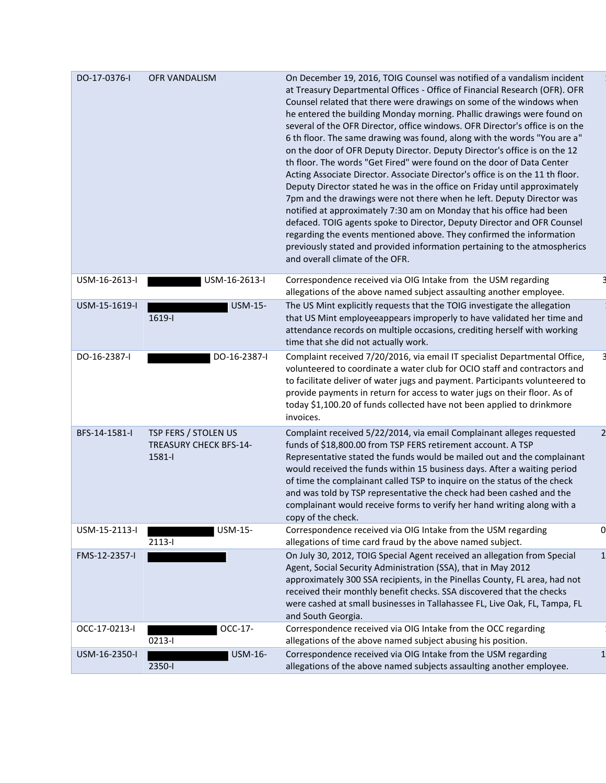| DO-17-0376-I  | <b>OFR VANDALISM</b>                                            | On December 19, 2016, TOIG Counsel was notified of a vandalism incident<br>at Treasury Departmental Offices - Office of Financial Research (OFR). OFR<br>Counsel related that there were drawings on some of the windows when<br>he entered the building Monday morning. Phallic drawings were found on<br>several of the OFR Director, office windows. OFR Director's office is on the<br>6 th floor. The same drawing was found, along with the words "You are a"<br>on the door of OFR Deputy Director. Deputy Director's office is on the 12<br>th floor. The words "Get Fired" were found on the door of Data Center<br>Acting Associate Director. Associate Director's office is on the 11 th floor.<br>Deputy Director stated he was in the office on Friday until approximately<br>7pm and the drawings were not there when he left. Deputy Director was<br>notified at approximately 7:30 am on Monday that his office had been<br>defaced. TOIG agents spoke to Director, Deputy Director and OFR Counsel<br>regarding the events mentioned above. They confirmed the information<br>previously stated and provided information pertaining to the atmospherics<br>and overall climate of the OFR. |                |
|---------------|-----------------------------------------------------------------|-------------------------------------------------------------------------------------------------------------------------------------------------------------------------------------------------------------------------------------------------------------------------------------------------------------------------------------------------------------------------------------------------------------------------------------------------------------------------------------------------------------------------------------------------------------------------------------------------------------------------------------------------------------------------------------------------------------------------------------------------------------------------------------------------------------------------------------------------------------------------------------------------------------------------------------------------------------------------------------------------------------------------------------------------------------------------------------------------------------------------------------------------------------------------------------------------------------|----------------|
| USM-16-2613-I | USM-16-2613-I                                                   | Correspondence received via OIG Intake from the USM regarding<br>allegations of the above named subject assaulting another employee.                                                                                                                                                                                                                                                                                                                                                                                                                                                                                                                                                                                                                                                                                                                                                                                                                                                                                                                                                                                                                                                                        |                |
| USM-15-1619-I | <b>USM-15-</b><br>1619-l                                        | The US Mint explicitly requests that the TOIG investigate the allegation<br>that US Mint employeeappears improperly to have validated her time and<br>attendance records on multiple occasions, crediting herself with working<br>time that she did not actually work.                                                                                                                                                                                                                                                                                                                                                                                                                                                                                                                                                                                                                                                                                                                                                                                                                                                                                                                                      |                |
| DO-16-2387-I  | DO-16-2387-I                                                    | Complaint received 7/20/2016, via email IT specialist Departmental Office,<br>volunteered to coordinate a water club for OCIO staff and contractors and<br>to facilitate deliver of water jugs and payment. Participants volunteered to<br>provide payments in return for access to water jugs on their floor. As of<br>today \$1,100.20 of funds collected have not been applied to drinkmore<br>invoices.                                                                                                                                                                                                                                                                                                                                                                                                                                                                                                                                                                                                                                                                                                                                                                                                 |                |
| BFS-14-1581-I | TSP FERS / STOLEN US<br><b>TREASURY CHECK BFS-14-</b><br>1581-l | Complaint received 5/22/2014, via email Complainant alleges requested<br>funds of \$18,800.00 from TSP FERS retirement account. A TSP<br>Representative stated the funds would be mailed out and the complainant<br>would received the funds within 15 business days. After a waiting period<br>of time the complainant called TSP to inquire on the status of the check<br>and was told by TSP representative the check had been cashed and the<br>complainant would receive forms to verify her hand writing along with a<br>copy of the check.                                                                                                                                                                                                                                                                                                                                                                                                                                                                                                                                                                                                                                                           | $\overline{2}$ |
| USM-15-2113-I | USM-15-<br>2113-l                                               | Correspondence received via OIG Intake from the USM regarding<br>allegations of time card fraud by the above named subject.                                                                                                                                                                                                                                                                                                                                                                                                                                                                                                                                                                                                                                                                                                                                                                                                                                                                                                                                                                                                                                                                                 | 0              |
| FMS-12-2357-I |                                                                 | On July 30, 2012, TOIG Special Agent received an allegation from Special<br>Agent, Social Security Administration (SSA), that in May 2012<br>approximately 300 SSA recipients, in the Pinellas County, FL area, had not<br>received their monthly benefit checks. SSA discovered that the checks<br>were cashed at small businesses in Tallahassee FL, Live Oak, FL, Tampa, FL<br>and South Georgia.                                                                                                                                                                                                                                                                                                                                                                                                                                                                                                                                                                                                                                                                                                                                                                                                        | $\mathbf{1}$   |
| OCC-17-0213-I | OCC-17-<br>$0213 - 1$                                           | Correspondence received via OIG Intake from the OCC regarding<br>allegations of the above named subject abusing his position.                                                                                                                                                                                                                                                                                                                                                                                                                                                                                                                                                                                                                                                                                                                                                                                                                                                                                                                                                                                                                                                                               |                |
| USM-16-2350-I | USM-16-<br>2350-l                                               | Correspondence received via OIG Intake from the USM regarding<br>allegations of the above named subjects assaulting another employee.                                                                                                                                                                                                                                                                                                                                                                                                                                                                                                                                                                                                                                                                                                                                                                                                                                                                                                                                                                                                                                                                       |                |
|               |                                                                 |                                                                                                                                                                                                                                                                                                                                                                                                                                                                                                                                                                                                                                                                                                                                                                                                                                                                                                                                                                                                                                                                                                                                                                                                             |                |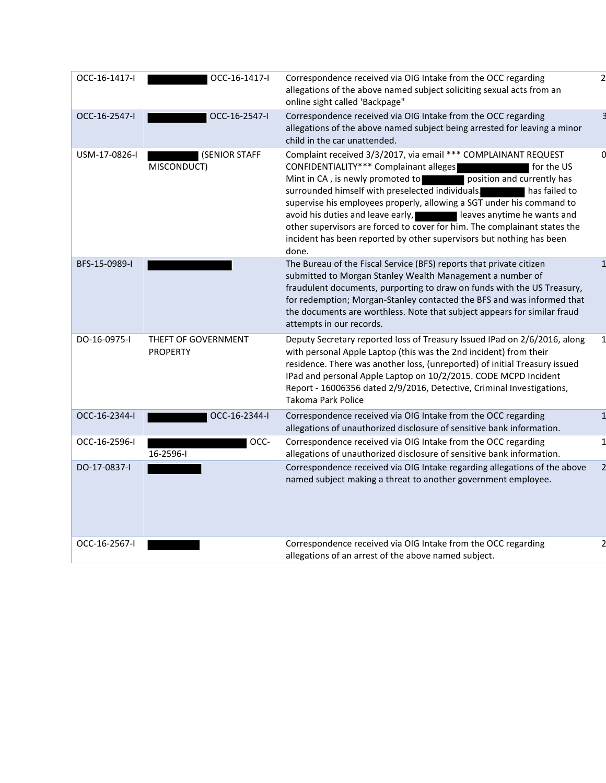| OCC-16-1417-I | OCC-16-1417-I                          | Correspondence received via OIG Intake from the OCC regarding<br>allegations of the above named subject soliciting sexual acts from an<br>online sight called 'Backpage"                                                                                                                                                                                                                                                                                                                                                                                                  |  |
|---------------|----------------------------------------|---------------------------------------------------------------------------------------------------------------------------------------------------------------------------------------------------------------------------------------------------------------------------------------------------------------------------------------------------------------------------------------------------------------------------------------------------------------------------------------------------------------------------------------------------------------------------|--|
| OCC-16-2547-I | OCC-16-2547-I                          | Correspondence received via OIG Intake from the OCC regarding<br>allegations of the above named subject being arrested for leaving a minor<br>child in the car unattended.                                                                                                                                                                                                                                                                                                                                                                                                |  |
| USM-17-0826-I | (SENIOR STAFF<br>MISCONDUCT)           | Complaint received 3/3/2017, via email *** COMPLAINANT REQUEST<br>CONFIDENTIALITY*** Complainant alleges<br>for the US<br>Mint in CA, is newly promoted to<br>position and currently has<br>surrounded himself with preselected individuals. The has failed to<br>supervise his employees properly, allowing a SGT under his command to<br>avoid his duties and leave early,<br>leaves anytime he wants and<br>other supervisors are forced to cover for him. The complainant states the<br>incident has been reported by other supervisors but nothing has been<br>done. |  |
| BFS-15-0989-I |                                        | The Bureau of the Fiscal Service (BFS) reports that private citizen<br>submitted to Morgan Stanley Wealth Management a number of<br>fraudulent documents, purporting to draw on funds with the US Treasury,<br>for redemption; Morgan-Stanley contacted the BFS and was informed that<br>the documents are worthless. Note that subject appears for similar fraud<br>attempts in our records.                                                                                                                                                                             |  |
| DO-16-0975-I  | THEFT OF GOVERNMENT<br><b>PROPERTY</b> | Deputy Secretary reported loss of Treasury Issued IPad on 2/6/2016, along<br>with personal Apple Laptop (this was the 2nd incident) from their<br>residence. There was another loss, (unreported) of initial Treasury issued<br>IPad and personal Apple Laptop on 10/2/2015. CODE MCPD Incident<br>Report - 16006356 dated 2/9/2016, Detective, Criminal Investigations,<br>Takoma Park Police                                                                                                                                                                            |  |
| OCC-16-2344-I | OCC-16-2344-I                          | Correspondence received via OIG Intake from the OCC regarding<br>allegations of unauthorized disclosure of sensitive bank information.                                                                                                                                                                                                                                                                                                                                                                                                                                    |  |
| OCC-16-2596-I | OCC-<br>$16 - 2596 - 1$                | Correspondence received via OIG Intake from the OCC regarding<br>allegations of unauthorized disclosure of sensitive bank information.                                                                                                                                                                                                                                                                                                                                                                                                                                    |  |
| DO-17-0837-I  |                                        | Correspondence received via OIG Intake regarding allegations of the above<br>named subject making a threat to another government employee.                                                                                                                                                                                                                                                                                                                                                                                                                                |  |
| OCC-16-2567-I |                                        | Correspondence received via OIG Intake from the OCC regarding<br>allegations of an arrest of the above named subject.                                                                                                                                                                                                                                                                                                                                                                                                                                                     |  |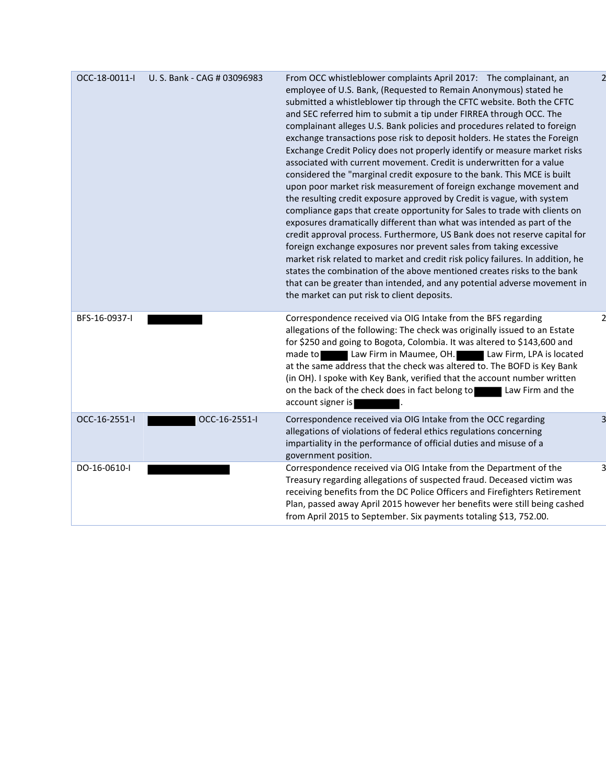| OCC-18-0011-I | U. S. Bank - CAG # 03096983 | From OCC whistleblower complaints April 2017: The complainant, an<br>employee of U.S. Bank, (Requested to Remain Anonymous) stated he<br>submitted a whistleblower tip through the CFTC website. Both the CFTC<br>and SEC referred him to submit a tip under FIRREA through OCC. The<br>complainant alleges U.S. Bank policies and procedures related to foreign<br>exchange transactions pose risk to deposit holders. He states the Foreign<br>Exchange Credit Policy does not properly identify or measure market risks<br>associated with current movement. Credit is underwritten for a value<br>considered the "marginal credit exposure to the bank. This MCE is built<br>upon poor market risk measurement of foreign exchange movement and<br>the resulting credit exposure approved by Credit is vague, with system<br>compliance gaps that create opportunity for Sales to trade with clients on<br>exposures dramatically different than what was intended as part of the<br>credit approval process. Furthermore, US Bank does not reserve capital for<br>foreign exchange exposures nor prevent sales from taking excessive<br>market risk related to market and credit risk policy failures. In addition, he<br>states the combination of the above mentioned creates risks to the bank<br>that can be greater than intended, and any potential adverse movement in<br>the market can put risk to client deposits. |
|---------------|-----------------------------|-----------------------------------------------------------------------------------------------------------------------------------------------------------------------------------------------------------------------------------------------------------------------------------------------------------------------------------------------------------------------------------------------------------------------------------------------------------------------------------------------------------------------------------------------------------------------------------------------------------------------------------------------------------------------------------------------------------------------------------------------------------------------------------------------------------------------------------------------------------------------------------------------------------------------------------------------------------------------------------------------------------------------------------------------------------------------------------------------------------------------------------------------------------------------------------------------------------------------------------------------------------------------------------------------------------------------------------------------------------------------------------------------------------------------------------|
| BFS-16-0937-I |                             | Correspondence received via OIG Intake from the BFS regarding<br>allegations of the following: The check was originally issued to an Estate<br>for \$250 and going to Bogota, Colombia. It was altered to \$143,600 and<br>made to Law Firm in Maumee, OH. Law Firm, LPA is located<br>at the same address that the check was altered to. The BOFD is Key Bank<br>(in OH). I spoke with Key Bank, verified that the account number written<br>on the back of the check does in fact belong to<br>Law Firm and the<br>account signer is                                                                                                                                                                                                                                                                                                                                                                                                                                                                                                                                                                                                                                                                                                                                                                                                                                                                                            |
| OCC-16-2551-I | OCC-16-2551-I               | Correspondence received via OIG Intake from the OCC regarding<br>allegations of violations of federal ethics regulations concerning<br>impartiality in the performance of official duties and misuse of a<br>government position.                                                                                                                                                                                                                                                                                                                                                                                                                                                                                                                                                                                                                                                                                                                                                                                                                                                                                                                                                                                                                                                                                                                                                                                                 |
| DO-16-0610-I  |                             | Correspondence received via OIG Intake from the Department of the<br>Treasury regarding allegations of suspected fraud. Deceased victim was<br>receiving benefits from the DC Police Officers and Firefighters Retirement<br>Plan, passed away April 2015 however her benefits were still being cashed<br>from April 2015 to September. Six payments totaling \$13, 752.00.                                                                                                                                                                                                                                                                                                                                                                                                                                                                                                                                                                                                                                                                                                                                                                                                                                                                                                                                                                                                                                                       |

 $\overline{c}$ 

 $\overline{c}$ 

 $\overline{\mathsf{3}}$ 

 $\overline{3}$